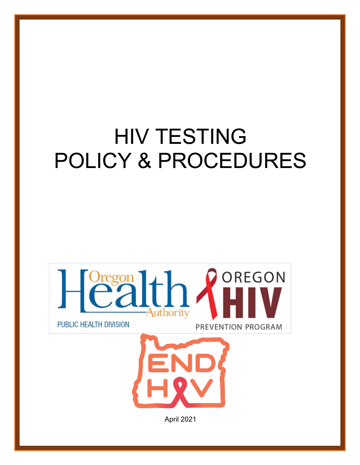# HIV TESTING POLICY & PROCEDURES





April 2021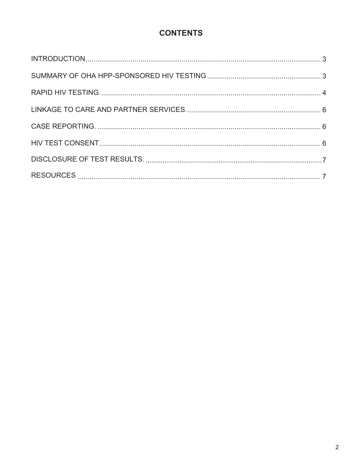# **CONTENTS**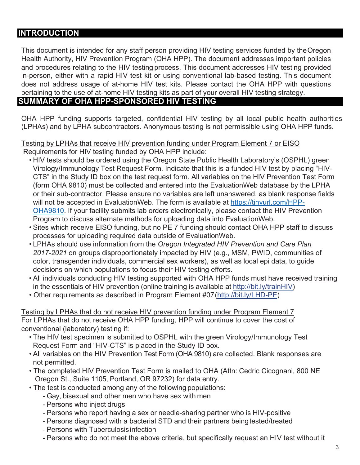# **INTRODUCTION**

This document is intended for any staff person providing HIV testing services funded by theOregon Health Authority, HIV Prevention Program (OHA HPP). The document addresses important policies and procedures relating to the HIV testing process. This document addresses HIV testing provided in-person, either with a rapid HIV test kit or using conventional lab-based testing. This document does not address usage of at-home HIV test kits. Please contact the OHA HPP with questions pertaining to the use of at-home HIV testing kits as part of your overall HIV testing strategy.

### **SUMMARY OF OHA HPP-SPONSORED HIV TESTING**

OHA HPP funding supports targeted, confidential HIV testing by all local public health authorities (LPHAs) and by LPHA subcontractors. Anonymous testing is not permissible using OHA HPP funds.

#### Testing by LPHAs that receive HIV prevention funding under Program Element 7 or EISO Requirements for HIV testing funded by OHA HPP include:

- HIV tests should be ordered using the Oregon State Public Health Laboratory's (OSPHL) green Virology/Immunology Test Request Form. Indicate that this is a funded HIV test by placing "HIV-CTS" in the Study ID box on the test request form. All variables on the HIV Prevention Test Form (form OHA 9810) must be collected and entered into the EvaluationWeb database by the LPHA or their sub-contractor. Please ensure no variables are left unanswered, as blank response fields will not be accepted in EvaluationWeb. The form is available at https://tinyurl.com/HPP-OHA9810. If your facility submits lab orders electronically, please contact the HIV Prevention Program to discuss alternate methods for uploading data into EvaluationWeb.
- Sites which receive EISO funding, but no PE 7 funding should contact OHA HPP staff to discuss processes for uploading required data outside of EvaluationWeb.
- LPHAs should use information from the *Oregon Integrated HIV Prevention and Care Plan 2017-2021* on groups disproportionately impacted by HIV (e.g., MSM, PWID, communities of color, transgender individuals, commercial sex workers), as well as local epi data, to guide decisions on which populations to focus their HIV testing efforts.
- All individuals conducting HIV testing supported with OHA HPP funds must have received training in the essentials of HIV prevention (online training is available at http://bit.ly/trainHIV)
- Other requirements as described in Program Element #07(http://bit.ly/LHD-PE)

Testing by LPHAs that do not receive HIV prevention funding under Program Element 7 For LPHAs that do not receive OHA HPP funding, HPP will continue to cover the cost of conventional (laboratory) testing if:

- The HIV test specimen is submitted to OSPHL with the green Virology/Immunology Test Request Form and "HIV-CTS" is placed in the Study ID box.
- All variables on the HIV Prevention Test Form (OHA 9810) are collected. Blank responses are not permitted.
- The completed HIV Prevention Test Form is mailed to OHA (Attn: Cedric Cicognani, 800 NE Oregon St., Suite 1105, Portland, OR 97232) for data entry.
- The test is conducted among any of the following populations:
	- Gay, bisexual and other men who have sex with men
	- Persons who inject drugs
	- Persons who report having a sex or needle-sharing partner who is HIV-positive
	- Persons diagnosed with a bacterial STD and their partners beingtested/treated
	- Persons with Tuberculosisinfection
	- Persons who do not meet the above criteria, but specifically request an HIV test without it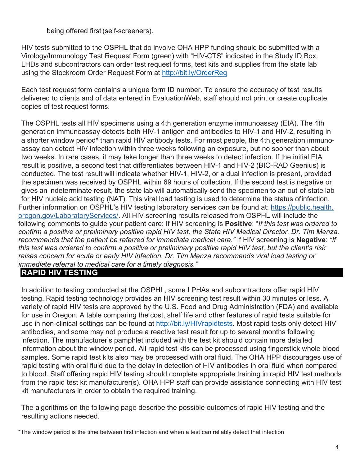being offered first (self-screeners).

HIV tests submitted to the OSPHL that do involve OHA HPP funding should be submitted with a Virology/Immunology Test Request Form (green) with "HIV-CTS" indicated in the Study ID Box. LHDs and subcontractors can order test request forms, test kits and supplies from the state lab using the Stockroom Order Request Form at http://bit.ly/OrderReq

Each test request form contains a unique form ID number. To ensure the accuracy of test results delivered to clients and of data entered in EvaluationWeb, staff should not print or create duplicate copies of test request forms.

The OSPHL tests all HIV specimens using a 4th generation enzyme immunoassay (EIA). The 4th generation immunoassay detects both HIV-1 antigen and antibodies to HIV-1 and HIV-2, resulting in a shorter window period\* than rapid HIV antibody tests. For most people, the 4th generation immunoassay can detect HIV infection within three weeks following an exposure, but no sooner than about two weeks. In rare cases, it may take longer than three weeks to detect infection. If the initial EIA result is positive, a second test that differentiates between HIV-1 and HIV-2 (BIO-RAD Geenius) is conducted. The test result will indicate whether HIV-1, HIV-2, or a dual infection is present, provided the specimen was received by OSPHL within 69 hours of collection. If the second test is negative or gives an indeterminate result, the state lab will automatically send the specimen to an out-of-state lab for HIV nucleic acid testing (NAT). This viral load testing is used to determine the status ofinfection. Further information on OSPHL's HIV testing laboratory services can be found at: https://public.health. oregon.gov/LaboratoryServices/. All HIV screening results released from OSPHL will include the following comments to guide your patient care: If HIV screening is **Positive**: "*If this test was ordered to confirm a positive or preliminary positive rapid HIV test, the State HIV Medical Director, Dr. Tim Menza, recommends that the patient be referred for immediate medical care."* If HIV screening is **Negative**: *"If this test was ordered to confirm a positive or preliminary positive rapid HIV test, but the client's risk raises concern for acute or early HIV infection, Dr. Tim Menza recommends viral load testing or immediate referral to medical care for a timely diagnosis."*

### **RAPID HIV TESTING**

In addition to testing conducted at the OSPHL, some LPHAs and subcontractors offer rapid HIV testing. Rapid testing technology provides an HIV screening test result within 30 minutes or less. A variety of rapid HIV tests are approved by the U.S. Food and Drug Administration (FDA) and available for use in Oregon. A table comparing the cost, shelf life and other features of rapid tests suitable for use in non-clinical settings can be found at http://bit.ly/HIVrapidtests. Most rapid tests only detect HIV antibodies, and some may not produce a reactive test result for up to several months following infection. The manufacturer's pamphlet included with the test kit should contain more detailed information about the window period. All rapid test kits can be processed using fingerstick whole blood samples. Some rapid test kits also may be processed with oral fluid. The OHA HPP discourages use of rapid testing with oral fluid due to the delay in detection of HIV antibodies in oral fluid when compared to blood. Staff offering rapid HIV testing should complete appropriate training in rapid HIV test methods from the rapid test kit manufacturer(s). OHA HPP staff can provide assistance connecting with HIV test kit manufacturers in order to obtain the required training.

The algorithms on the following page describe the possible outcomes of rapid HIV testing and the resulting actions needed.

\*The window period is the time between first infection and when a test can reliably detect that infection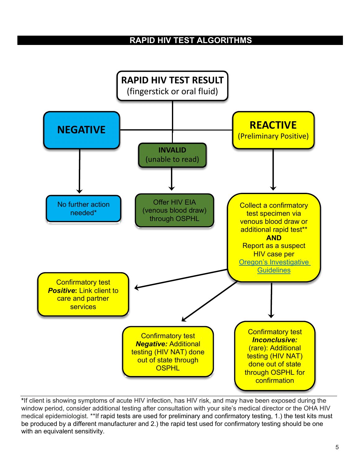# **RAPID HIV TEST ALGORITHMS**



**\***If client is showing symptoms of acute HIV infection, has HIV risk, and may have been exposed during the window period, consider additional testing after consultation with your site's medical director or the OHA HIV medical epidemiologist. \*\*If rapid tests are used for preliminary and confirmatory testing, 1.) the test kits must be produced by a different manufacturer and 2.) the rapid test used for confirmatory testing should be one with an equivalent sensitivity.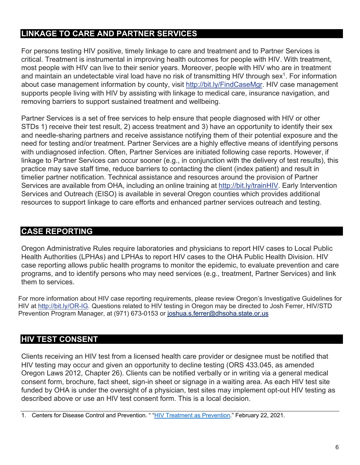# **LINKAGE TO CARE AND PARTNER SERVICES**

For persons testing HIV positive, timely linkage to care and treatment and to Partner Services is critical. Treatment is instrumental in improving health outcomes for people with HIV. With treatment, most people with HIV can live to their senior years. Moreover, people with HIV who are in treatment and maintain an undetectable viral load have no risk of transmitting HIV through sex<sup>1</sup>. For information about case management information by county, visit http://bit.ly/FindCaseMgr. HIV case management supports people living with HIV by assisting with linkage to medical care, insurance navigation, and removing barriers to support sustained treatment and wellbeing.

Partner Services is a set of free services to help ensure that people diagnosed with HIV or other STDs 1) receive their test result, 2) access treatment and 3) have an opportunity to identify their sex and needle-sharing partners and receive assistance notifying them of their potential exposure and the need for testing and/or treatment. Partner Services are a highly effective means of identifying persons with undiagnosed infection. Often, Partner Services are initiated following case reports. However, if linkage to Partner Services can occur sooner (e.g., in conjunction with the delivery of test results), this practice may save staff time, reduce barriers to contacting the client (index patient) and result in timelier partner notification. Technical assistance and resources around the provision of Partner Services are available from OHA, including an online training at http://bit.ly/trainHIV. Early Intervention Services and Outreach (EISO) is available in several Oregon counties which provides additional resources to support linkage to care efforts and enhanced partner services outreach and testing.

# **CASE REPORTING**

Oregon Administrative Rules require laboratories and physicians to report HIV cases to Local Public Health Authorities (LPHAs) and LPHAs to report HIV cases to the OHA Public Health Division. HIV case reporting allows public health programs to monitor the epidemic, to evaluate prevention and care programs, and to identify persons who may need services (e.g., treatment, Partner Services) and link them to services.

For more information about HIV case reporting requirements, please review Oregon's Investigative Guidelines for HIV at http://bit.ly/OR-IG. Questions related to HIV testing in Oregon may be directed to Josh Ferrer, HIV/STD Prevention Program Manager, at (971) 673-0153 or joshua.s.ferrer@dhsoha.state.or.us

### **HIV TEST CONSENT**

Clients receiving an HIV test from a licensed health care provider or designee must be notified that HIV testing may occur and given an opportunity to decline testing (ORS 433.045, as amended Oregon Laws 2012, Chapter 26). Clients can be notified verbally or in writing via a general medical consent form, brochure, fact sheet, sign-in sheet or signage in a waiting area. As each HIV test site funded by OHA is under the oversight of a physician, test sites may implement opt-out HIV testing as described above or use an HIV test consent form. This is a local decision.

1. Centers for Disease Control and Prevention. " "HIV Treatment as Prevention." February 22, 2021.